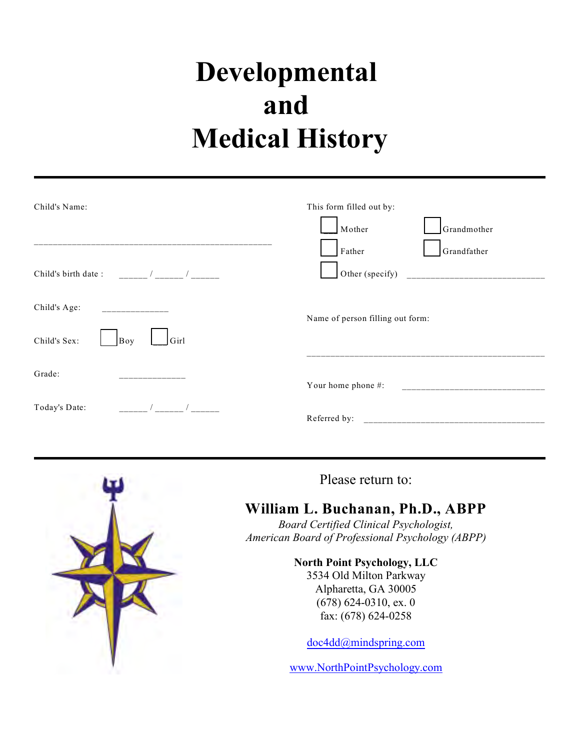| Child's Name:                                                                                                                                                                                                                                                                                                                              | This form filled out by:                       |
|--------------------------------------------------------------------------------------------------------------------------------------------------------------------------------------------------------------------------------------------------------------------------------------------------------------------------------------------|------------------------------------------------|
|                                                                                                                                                                                                                                                                                                                                            | Grandmother<br>Mother<br>Grandfather<br>Father |
| $\frac{1}{2}$ $\frac{1}{2}$ $\frac{1}{2}$ $\frac{1}{2}$ $\frac{1}{2}$ $\frac{1}{2}$ $\frac{1}{2}$ $\frac{1}{2}$ $\frac{1}{2}$ $\frac{1}{2}$ $\frac{1}{2}$ $\frac{1}{2}$ $\frac{1}{2}$ $\frac{1}{2}$ $\frac{1}{2}$ $\frac{1}{2}$ $\frac{1}{2}$ $\frac{1}{2}$ $\frac{1}{2}$ $\frac{1}{2}$ $\frac{1}{2}$ $\frac{1}{2}$<br>Child's birth date: | Other (specify)                                |
| Child's Age:<br><u> 1999 - Alexandr Alexandr III e San A</u>                                                                                                                                                                                                                                                                               | Name of person filling out form:               |
| Child's Sex:<br>Girl<br>Boy                                                                                                                                                                                                                                                                                                                |                                                |
| Grade:                                                                                                                                                                                                                                                                                                                                     | Your home phone #:                             |
| Today's Date:                                                                                                                                                                                                                                                                                                                              |                                                |
|                                                                                                                                                                                                                                                                                                                                            |                                                |



Please return to:

# **William L. Buchanan, Ph.D., ABPP**

*Board Certified Clinical Psychologist, American Board of Professional Psychology (ABPP)*

> **North Point Psychology, LLC** 3534 Old Milton Parkway Alpharetta, GA 30005 (678) 624-0310, ex. 0 fax: (678) 624-0258

doc4dd@mindspring.com

www.NorthPointPsychology.com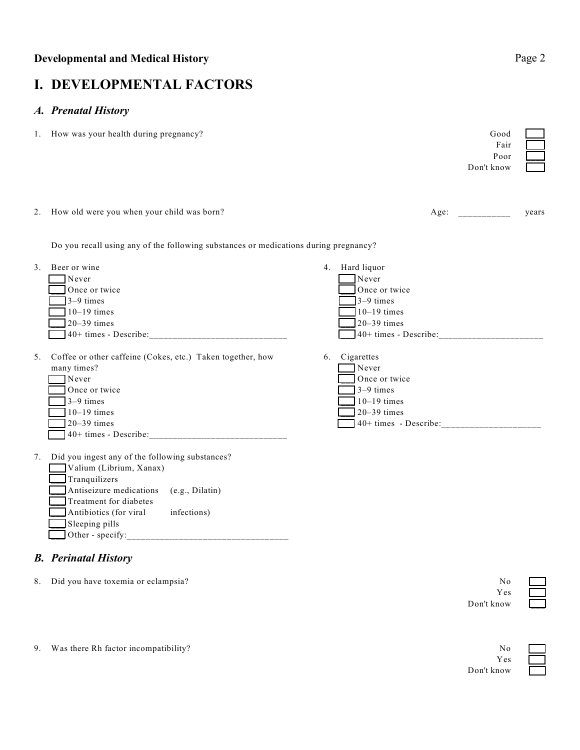# **I. DEVELOPMENTAL FACTORS**

### *A. Prenatal History*

1. How was your health during pregnancy? Good  $\sim$ 

|                |                                                                                                                                                                                                                                | Fair<br>Poor<br>Don't know                                                                                               |       |
|----------------|--------------------------------------------------------------------------------------------------------------------------------------------------------------------------------------------------------------------------------|--------------------------------------------------------------------------------------------------------------------------|-------|
|                | 2. How old were you when your child was born?                                                                                                                                                                                  | Age:                                                                                                                     | years |
|                | Do you recall using any of the following substances or medications during pregnancy?                                                                                                                                           |                                                                                                                          |       |
| 3 <sub>1</sub> | Beer or wine<br>Never<br>Once or twice<br>$3-9$ times<br>$10-19$ times<br>$20 - 39$ times<br>$40+ \text{ times - Describe:}$                                                                                                   | 4. Hard liquor<br>Never<br>Once or twice<br>$3-9$ times<br>$10-19$ times<br>$20 - 39$ times<br>40+ times - Describe:     |       |
| 5 <sub>1</sub> | Coffee or other caffeine (Cokes, etc.) Taken together, how<br>many times?<br>Never<br>Once or twice<br>$3-9$ times<br>$10-19$ times<br>$20-39$ times<br>$40+ \text{ times} - \text{Describe:}$                                 | Cigarettes<br>6.<br>Never<br>Once or twice<br>$3-9$ times<br>$10-19$ times<br>$20 - 39$ times<br>$40+ times - Describe:$ |       |
| 7.             | Did you ingest any of the following substances?<br>Valium (Librium, Xanax)<br>Tranquilizers<br>Antiseizure medications<br>(e.g., Dilatin)<br>Treatment for diabetes<br>infections)<br>Antibiotics (for viral<br>Sleeping pills |                                                                                                                          |       |
|                | <b>B.</b> Perinatal History                                                                                                                                                                                                    |                                                                                                                          |       |

### 8. Did you have toxemia or eclampsia? No  $\sim$ Yes \_\_\_ Don't know \_\_\_

9. Was there Rh factor incompatibility? No

Yes \_\_\_ Don't know \_\_\_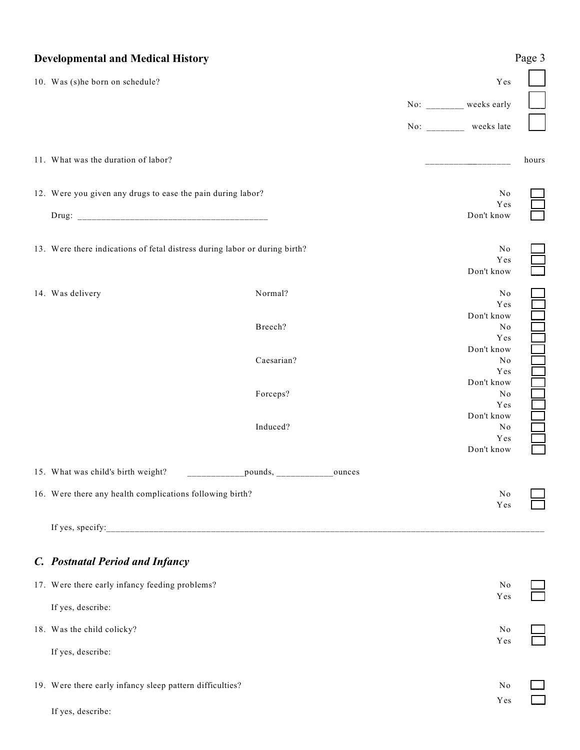| <b>Developmental and Medical History</b>                                   |                    |                          | Page 3                |
|----------------------------------------------------------------------------|--------------------|--------------------------|-----------------------|
| 10. Was (s)he born on schedule?                                            |                    |                          | Yes                   |
|                                                                            |                    | No: ________ weeks early |                       |
|                                                                            |                    | No: ________ weeks late  |                       |
| 11. What was the duration of labor?                                        |                    |                          | hours                 |
| 12. Were you given any drugs to ease the pain during labor?                |                    |                          | No                    |
|                                                                            |                    | Don't know               | Yes                   |
| 13. Were there indications of fetal distress during labor or during birth? |                    | Don't know               | $\rm No$<br>Yes       |
| 14. Was delivery                                                           | Normal?            |                          | N <sub>0</sub><br>Yes |
|                                                                            | Breech?            | Don't know<br>Don't know | No<br>Yes             |
|                                                                            | Caesarian?         | Don't know               | N <sub>0</sub><br>Yes |
|                                                                            | Forceps?           | Don't know               | N <sub>0</sub><br>Yes |
|                                                                            | Induced?           | Don't know               | No<br>Yes             |
| 15. What was child's birth weight?                                         | _pounds,<br>ounces |                          |                       |
| 16. Were there any health complications following birth?                   |                    |                          | N <sub>0</sub><br>Yes |
|                                                                            |                    |                          |                       |
| C. Postnatal Period and Infancy                                            |                    |                          |                       |
| 17. Were there early infancy feeding problems?                             |                    |                          | No<br>Yes             |
| If yes, describe:                                                          |                    |                          |                       |
| 18. Was the child colicky?                                                 |                    |                          | N <sub>0</sub><br>Yes |
| If yes, describe:                                                          |                    |                          |                       |
| 19. Were there early infancy sleep pattern difficulties?                   |                    |                          | N <sub>0</sub><br>Yes |
| If yes, describe:                                                          |                    |                          |                       |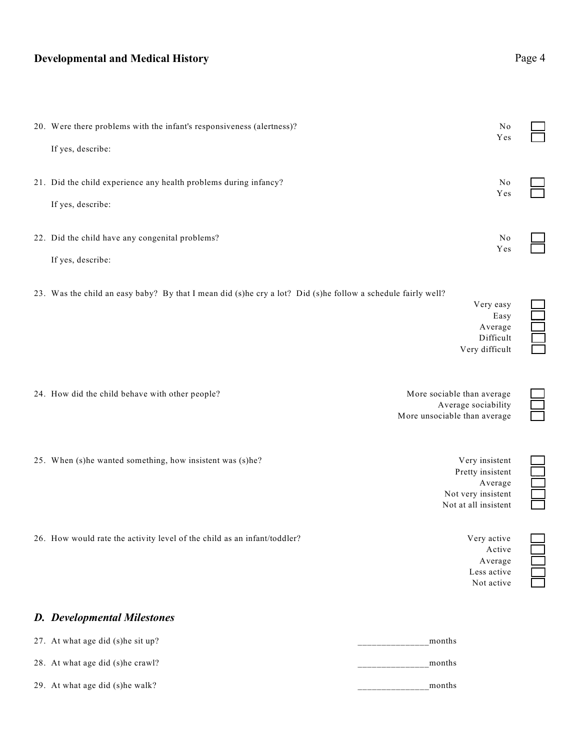| 20. Were there problems with the infant's responsiveness (alertness)? | N <sub>0</sub><br>Yes |  |
|-----------------------------------------------------------------------|-----------------------|--|
| If yes, describe:                                                     |                       |  |
| 21. Did the child experience any health problems during infancy?      | N <sub>0</sub><br>Yes |  |
| If yes, describe:                                                     |                       |  |
| 22. Did the child have any congenital problems?                       | No<br>Yes             |  |
| If yes, describe:                                                     |                       |  |

23. Was the child an easy baby? By that I mean did (s)he cry a lot? Did (s)he follow a schedule fairly well?

| . .            | -- | . | -- |  |
|----------------|----|---|----|--|
| Very easy      |    |   |    |  |
| Easy           |    |   |    |  |
| Average        |    |   |    |  |
| Difficult      |    |   |    |  |
| Very difficult |    |   |    |  |
|                |    |   |    |  |
|                |    |   |    |  |

- 
- 25. When (s)he wanted something, how insistent was (s)he? Very insistent  $\blacksquare$

26. How would rate the activity level of the child as an infant/toddler? Very active Very active

#### *D. Developmental Milestones*

| 27. At what age did (s) he sit up? | months |
|------------------------------------|--------|
| 28. At what age did (s) he crawl?  | months |
| 29. At what age did (s) he walk?   | months |

24. How did the child behave with other people?<br>More sociable than average<br>More unsociable than average Average sociability More unsociable than average

> Pretty insistent Average Not very insistent Not at all insistent

> > Active Average \_\_\_ Less active Not active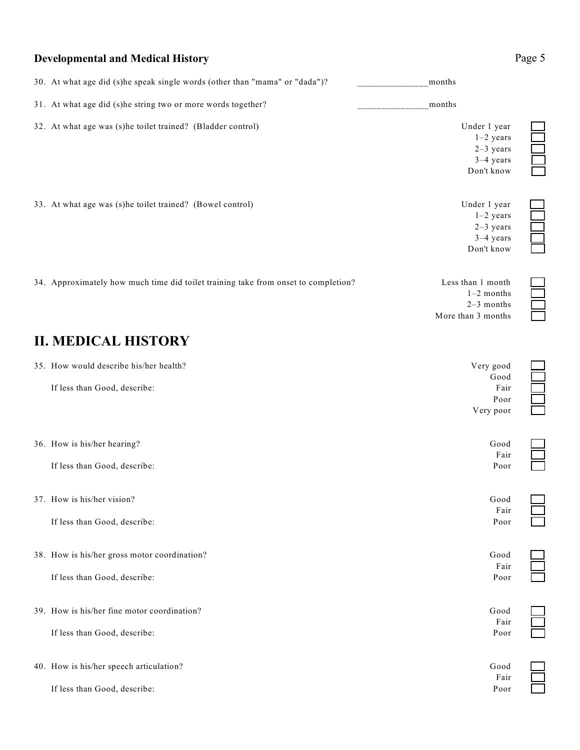| 30. At what age did (s)he speak single words (other than "mama" or "dada")?        | months                                                                  |  |
|------------------------------------------------------------------------------------|-------------------------------------------------------------------------|--|
| 31. At what age did (s)he string two or more words together?                       | months                                                                  |  |
| 32. At what age was (s)he toilet trained? (Bladder control)                        | Under 1 year<br>$1-2$ years<br>$2-3$ years<br>$3-4$ years<br>Don't know |  |
| 33. At what age was (s)he toilet trained? (Bowel control)                          | Under 1 year<br>$1-2$ years<br>$2-3$ years<br>$3-4$ years<br>Don't know |  |
| 34. Approximately how much time did toilet training take from onset to completion? | Less than 1 month<br>$1-2$ months<br>$2-3$ months<br>More than 3 months |  |
| <b>II. MEDICAL HISTORY</b>                                                         |                                                                         |  |
| 35. How would describe his/her health?<br>If less than Good, describe:             | Very good<br>Good<br>Fair<br>Poor<br>Very poor                          |  |
| 36. How is his/her hearing?<br>If less than Good, describe:                        | Good<br>Fair<br>Poor                                                    |  |
| 37. How is his/her vision?<br>If less than Good, describe:                         | Good<br>Fair<br>Poor                                                    |  |
| 38. How is his/her gross motor coordination?<br>If less than Good, describe:       | Good<br>Fair<br>Poor                                                    |  |
| 39. How is his/her fine motor coordination?<br>If less than Good, describe:        | Good<br>Fair<br>Poor                                                    |  |
| 40. How is his/her speech articulation?<br>If less than Good, describe:            | Good<br>Fair<br>Poor                                                    |  |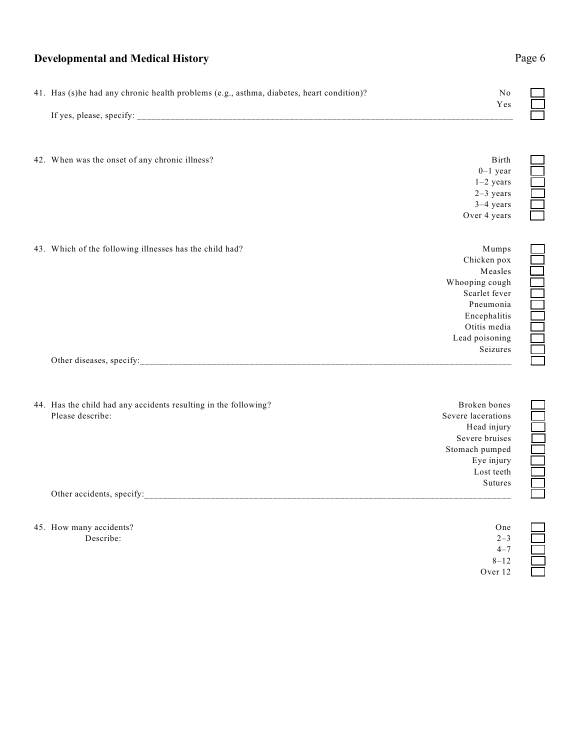# **Developmental and Medical History** Page 6 41. Has (s)he had any chronic health problems (e.g., asthma, diabetes, heart condition)? No  $_{\rm Yes}$ If yes, please, specify: 42. When was the onset of any chronic illness? Birth  $\mu$  $0-1$  year  $1-2$  years  $2-3$  years  $3-4$  years Over 4 years 43. Which of the following illnesses has the child had? Mumps Mumps Mumps Mumps Mumps Mumps Mumps Mumps Mumps Mumps  $\Box$ Chicken pox \_\_\_ Measles<br>
ng cough<br>
rlet fever<br>
eumonia<br>
rephalitis<br>
itis media<br>
oisoning Whooping cough Scarlet fever Pneumonia \_\_\_ Encephalitis \_\_\_ Otitis media \_\_\_ Lead poisoning Seizures \_\_\_ Other diseases, specify: 44. Has the child had any accidents resulting in the following? Broken bones **Broken bones**

| $\ldots$ thus the entire mud any accruents resulting in the following. | DIVROIL UUILUU     |  |
|------------------------------------------------------------------------|--------------------|--|
| Please describe:                                                       | Severe lacerations |  |
|                                                                        | Head injury        |  |
|                                                                        | Severe bruises     |  |
|                                                                        | Stomach pumped     |  |
|                                                                        | Eye injury         |  |
|                                                                        | Lost teeth         |  |
|                                                                        | Sutures            |  |
| Other accidents, specify:                                              |                    |  |

| 45. How many accidents? | One     |  |
|-------------------------|---------|--|
| Describe:               | $2 - 3$ |  |
|                         | $4 - 7$ |  |
|                         | .       |  |

 $8 - 12$ Over 12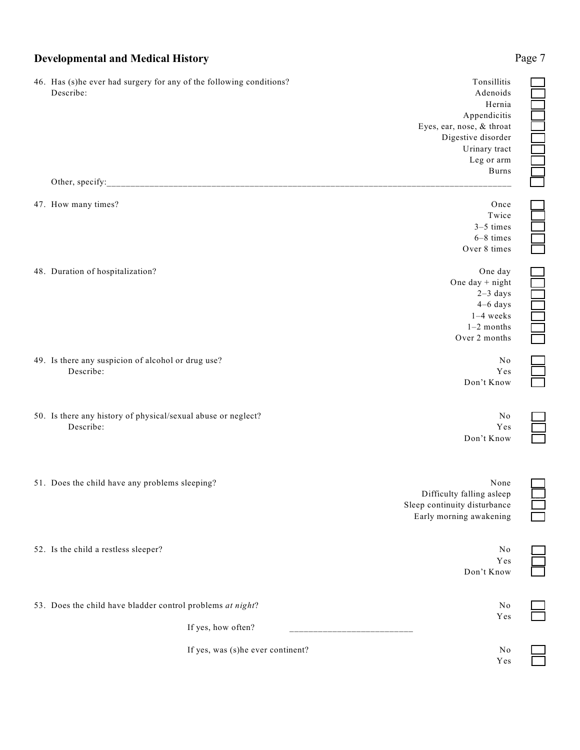| 46. Has (s)he ever had surgery for any of the following conditions?<br>Describe: | Tonsillitis<br>Adenoids<br>Hernia<br>Appendicitis<br>Eyes, ear, nose, & throat<br>Digestive disorder<br>Urinary tract<br>Leg or arm |  |
|----------------------------------------------------------------------------------|-------------------------------------------------------------------------------------------------------------------------------------|--|
| Other, specify:                                                                  | <b>Burns</b>                                                                                                                        |  |
| 47. How many times?                                                              | Once<br>Twice<br>$3-5$ times<br>6-8 times<br>Over 8 times                                                                           |  |
| 48. Duration of hospitalization?                                                 | One day<br>One day $+$ night<br>$2-3$ days<br>$4-6$ days<br>$1-4$ weeks<br>$1-2$ months<br>Over 2 months                            |  |
| 49. Is there any suspicion of alcohol or drug use?<br>Describe:                  | No<br>Yes<br>Don't Know                                                                                                             |  |
| 50. Is there any history of physical/sexual abuse or neglect?<br>Describe:       | No<br>Yes<br>Don't Know                                                                                                             |  |
| 51. Does the child have any problems sleeping?                                   | None<br>Difficulty falling asleep<br>Sleep continuity disturbance<br>Early morning awakening                                        |  |
| 52. Is the child a restless sleeper?                                             | N <sub>0</sub><br>Yes<br>Don't Know                                                                                                 |  |
| 53. Does the child have bladder control problems at night?                       | No<br>Yes                                                                                                                           |  |
| If yes, how often?                                                               |                                                                                                                                     |  |
| If yes, was (s)he ever continent?                                                | No<br>Yes                                                                                                                           |  |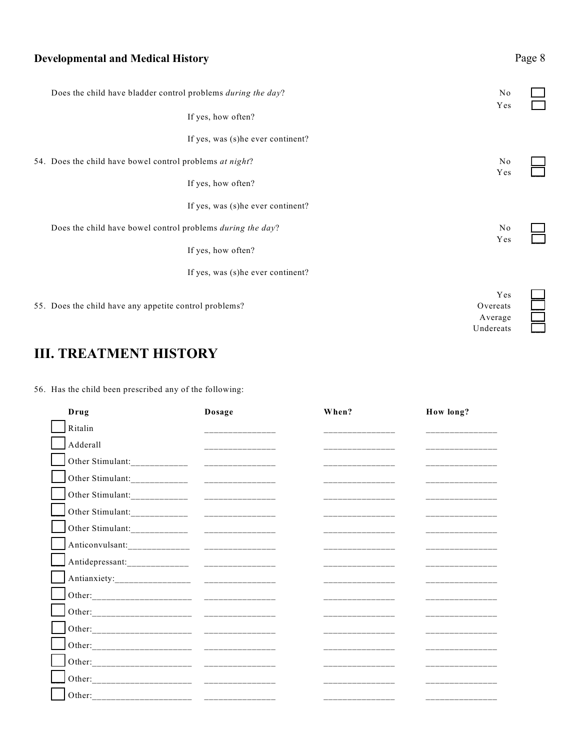| <b>Developmental and Medical History</b>                     |                                         |  |
|--------------------------------------------------------------|-----------------------------------------|--|
| Does the child have bladder control problems during the day? | No                                      |  |
| If yes, how often?                                           | Yes                                     |  |
| If yes, was (s) he ever continent?                           |                                         |  |
| 54. Does the child have bowel control problems at night?     | No                                      |  |
| If yes, how often?                                           | Yes                                     |  |
| If yes, was (s)he ever continent?                            |                                         |  |
| Does the child have bowel control problems during the day?   | No<br>Yes                               |  |
| If yes, how often?                                           |                                         |  |
| If yes, was (s)he ever continent?                            |                                         |  |
| 55. Does the child have any appetite control problems?       | Yes<br>Overeats<br>Average<br>Undereats |  |

# **III. TREATMENT HISTORY**

56. Has the child been prescribed any of the following:

| Drug                          | Dosage          | When?                                                                                                                 | How long?                                                                                                             |
|-------------------------------|-----------------|-----------------------------------------------------------------------------------------------------------------------|-----------------------------------------------------------------------------------------------------------------------|
| Ritalin                       | _______________ | والمستحدث والمستحدث والمستحدث                                                                                         |                                                                                                                       |
| Adderall                      |                 |                                                                                                                       |                                                                                                                       |
| Other Stimulant:_____________ |                 |                                                                                                                       |                                                                                                                       |
|                               |                 |                                                                                                                       |                                                                                                                       |
|                               |                 |                                                                                                                       |                                                                                                                       |
|                               |                 |                                                                                                                       | <u> 2000 - Maria Maria Maria Maria Maria Maria Maria Maria Maria Maria Maria Maria Maria Maria Maria Maria Maria </u> |
|                               |                 |                                                                                                                       |                                                                                                                       |
|                               |                 | _________________                                                                                                     | المستحدث المستحدث المتحدث                                                                                             |
|                               |                 |                                                                                                                       |                                                                                                                       |
|                               |                 | __________________                                                                                                    | ______________                                                                                                        |
|                               |                 | <u> 1989 - Alexandro Alexandro III e alexandro de la ciudad de la ciudad de la ciudad de la ciudad de la ciudad d</u> | ______________                                                                                                        |
|                               |                 | <u> 2000 - Andrew Alexandro Alexandro Alexandro Alexandro Alexandro Alexandro Alexandro Alexandro Alexandro Alex</u>  | _______________________                                                                                               |
|                               |                 | المواصل المواطن المستوات المستوات والمستوات                                                                           | _______________                                                                                                       |
|                               |                 |                                                                                                                       | ________________                                                                                                      |
|                               |                 | _________________                                                                                                     | <u> 2000 - Jan Alexandro Alexandro II</u>                                                                             |
|                               |                 |                                                                                                                       |                                                                                                                       |
|                               |                 |                                                                                                                       |                                                                                                                       |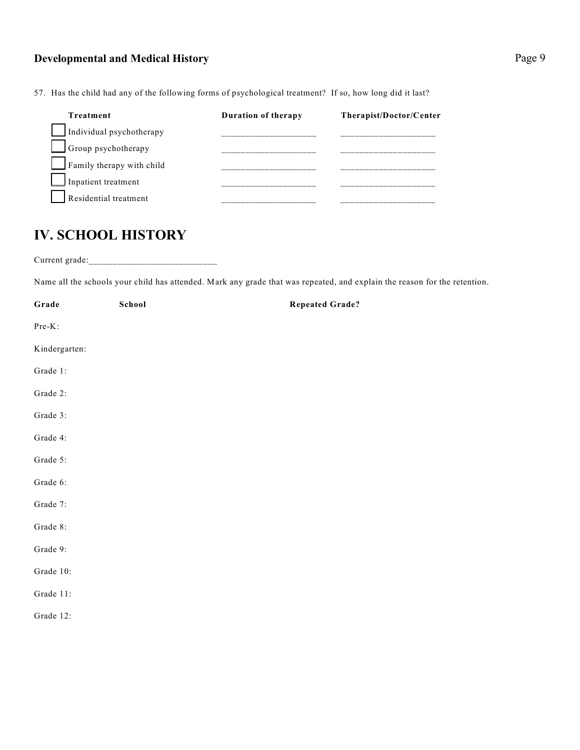**Treatment Duration of therapy Therapist/Doctor/Center** Individual psychotherapy  $\Box$  Group psychotherapy \_\_\_ Family therapy with child \_\_\_\_\_\_\_\_\_\_\_\_\_\_\_\_\_\_\_\_ \_\_\_\_\_\_\_\_\_\_\_\_\_\_\_\_\_\_\_\_ Inpatient treatment Residential treatment

57. Has the child had any of the following forms of psychological treatment? If so, how long did it last?

# **IV. SCHOOL HISTORY**

Current grade:\_\_\_\_\_\_\_\_\_\_\_\_\_\_\_\_\_\_\_\_\_\_\_\_\_\_\_

Name all the schools your child has attended. Mark any grade that was repeated, and explain the reason for the retention.

| Grade         | School | <b>Repeated Grade?</b> |
|---------------|--------|------------------------|
| Pre-K:        |        |                        |
| Kindergarten: |        |                        |
| Grade 1:      |        |                        |
| Grade 2:      |        |                        |
| Grade 3:      |        |                        |
| Grade 4:      |        |                        |
| Grade 5:      |        |                        |
| Grade 6:      |        |                        |
| Grade 7:      |        |                        |
| Grade 8:      |        |                        |
| Grade 9:      |        |                        |
| Grade 10:     |        |                        |
| Grade 11:     |        |                        |
| Grade 12:     |        |                        |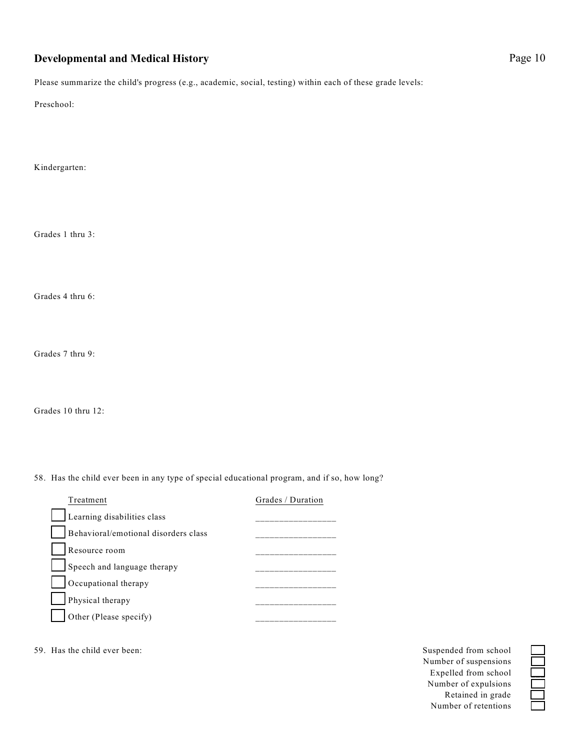Please summarize the child's progress (e.g., academic, social, testing) within each of these grade levels:

Preschool:

Kindergarten:

Grades 1 thru 3:

Grades 4 thru 6:

Grades 7 thru 9:

Grades 10 thru 12:

58. Has the child ever been in any type of special educational program, and if so, how long?

| Treatment                            | Grades / Duration |
|--------------------------------------|-------------------|
| Learning disabilities class          |                   |
| Behavioral/emotional disorders class |                   |
| Resource room                        |                   |
| Speech and language therapy          |                   |
| Occupational therapy                 |                   |
| Physical therapy                     |                   |
| Other (Please specify)               |                   |

59. Has the child ever been: Suspended from school Suspended from school Suspended from school

Number of suspensions \_\_\_ Expelled from school \_\_\_ Number of expulsions \_\_\_ Retained in grade \_\_\_ Number of retentions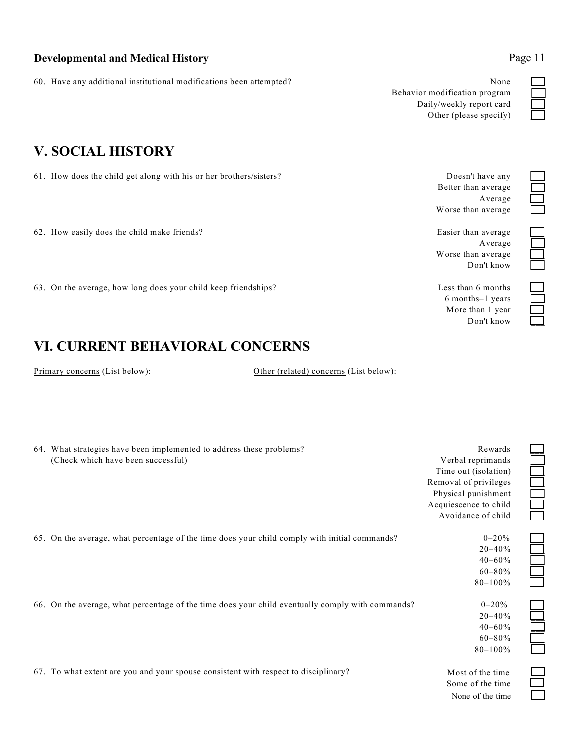60. Have any additional institutional modifications been attempted? None \_\_\_

Behavior modification program \_\_\_ Daily/weekly report card \_\_\_ Other (please specify) \_\_\_

Better than average \_\_\_

Worse than average

Worse than average Don't know \_\_\_

> 6 months–1 years \_\_\_ More than 1 year Don't know \_\_\_

Average \_\_\_

Average

# **V. SOCIAL HISTORY**

61. How does the child get along with his or her brothers/sisters? Doesn't have any

62. How easily does the child make friends?<br>  $\begin{array}{c}\n\text{Easier than average} \\
\text{Average} \\
\text{Worse than average} \\
\text{Don't know}\n\end{array}$ 

63. On the average, how long does your child keep friendships? Less than 6 months Less than 6 months

# **VI. CURRENT BEHAVIORAL CONCERNS**

Primary concerns (List below): Other (related) concerns (List below):

| 64. What strategies have been implemented to address these problems?                             | Rewards               |  |
|--------------------------------------------------------------------------------------------------|-----------------------|--|
| (Check which have been successful)                                                               | Verbal reprimands     |  |
|                                                                                                  | Time out (isolation)  |  |
|                                                                                                  | Removal of privileges |  |
|                                                                                                  | Physical punishment   |  |
|                                                                                                  | Acquiescence to child |  |
|                                                                                                  | Avoidance of child    |  |
| 65. On the average, what percentage of the time does your child comply with initial commands?    | $0 - 20%$             |  |
|                                                                                                  | $20 - 40%$            |  |
|                                                                                                  | $40 - 60\%$           |  |
|                                                                                                  | $60 - 80\%$           |  |
|                                                                                                  | $80 - 100%$           |  |
| 66. On the average, what percentage of the time does your child eventually comply with commands? | $0 - 20%$             |  |
|                                                                                                  | $20 - 40%$            |  |
|                                                                                                  | $40 - 60%$            |  |
|                                                                                                  | $60 - 80\%$           |  |
|                                                                                                  | $80 - 100\%$          |  |
| 67. To what extent are you and your spouse consistent with respect to disciplinary?              | Most of the time      |  |
|                                                                                                  | $C = 1$               |  |

## Some of the time None of the time

| e |  |
|---|--|
| e |  |
|   |  |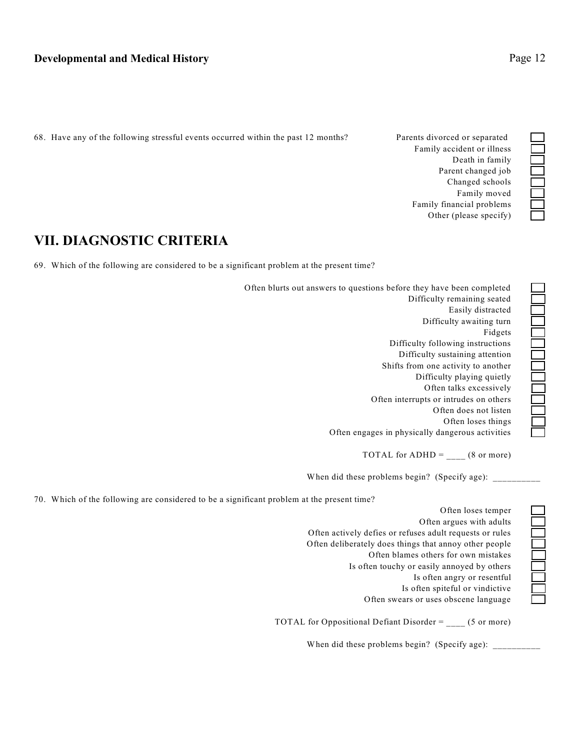68. Have any of the following stressful events occurred within the past 12 months? Parents divorced or separated \_\_\_

Family accident or illness<br>Death in family<br>Parent changed job<br>Changed schools<br>Family moved<br>Family financial problems<br>Other (please specify) Death in family Parent changed job Changed schools \_\_\_ Family moved Family financial problems \_\_\_ Other (please specify) \_\_\_

# **VII. DIAGNOSTIC CRITERIA**

69. Which of the following are considered to be a significant problem at the present time?

| Often blurts out answers to questions before they have been completed |  |
|-----------------------------------------------------------------------|--|
| Difficulty remaining seated                                           |  |
| Easily distracted                                                     |  |
| Difficulty awaiting turn                                              |  |
| Fidgets                                                               |  |
| Difficulty following instructions                                     |  |
| Difficulty sustaining attention                                       |  |
| Shifts from one activity to another                                   |  |
| Difficulty playing quietly                                            |  |
| Often talks excessively                                               |  |
| Often interrupts or intrudes on others                                |  |
| Often does not listen                                                 |  |
| Often loses things                                                    |  |
| Often engages in physically dangerous activities                      |  |

TOTAL for ADHD =  $_{\_}$  (8 or more)

When did these problems begin? (Specify age):

70. Which of the following are considered to be a significant problem at the present time?

Often loses temper \_\_\_ Often argues with adults \_\_\_ Often actively defies or refuses adult requests or rules<br>
Often deliberately does things that annoy other people<br>
Often blames others for own mistakes<br>
Is often touchy or easily annoyed by others<br>
Is often angry or resentf Often deliberately does things that annoy other people \_\_\_ Often blames others for own mistakes \_\_\_ Is often touchy or easily annoyed by others Is often angry or resentful Is often spiteful or vindictive Often swears or uses obscene language \_\_\_

TOTAL for Oppositional Defiant Disorder = \_\_\_\_ (5 or more)

When did these problems begin? (Specify age):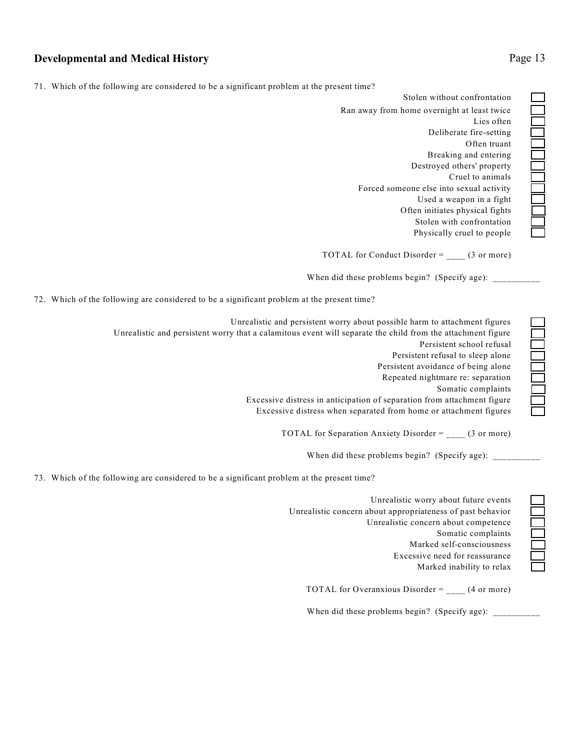|  |  |  | 71. Which of the following are considered to be a significant problem at the present time? |  |
|--|--|--|--------------------------------------------------------------------------------------------|--|

Ran away from home overnight at least twice<br>
Lies often<br>
Deliberate fire-setting<br>
Often truant<br>
Breaking and entering<br>
Destroyed others' property<br>
Cruel to animals<br>
Forced someone else into sexual activity<br>
Used a weapon i Lies often Deliberate fire-setting \_\_\_ Often truant \_\_\_ Breaking and entering \_\_\_ Destroyed others' property \_\_\_ Cruel to animals Forced someone else into sexual activity \_\_\_ Used a weapon in a fight \_\_\_ Often initiates physical fights \_\_\_ Stolen with confrontation Physically cruel to people \_\_\_ Stolen without confrontation

TOTAL for Conduct Disorder =  $_{\_}$  (3 or more)

When did these problems begin? (Specify age): \_

72. Which of the following are considered to be a significant problem at the present time?

Unrealistic and persistent worry about possible harm to attachment figures \_\_\_ Unrealistic and persistent worry that a calamitous event will separate the child from the attachment figure \_\_\_ Persistent school refusal \_\_\_ Persistent refusal to sleep alone Persistent avoidance of being alone \_\_\_ Repeated nightmare re: separation \_\_\_ Somatic complaints \_\_\_ Excessive distress in anticipation of separation from attachment figure \_\_\_ Excessive distress when separated from home or attachment figures \_\_\_

TOTAL for Separation Anxiety Disorder =  $_{\_ \_ \_ \_ \_ }$  (3 or more)

When did these problems begin? (Specify age):

73. Which of the following are considered to be a significant problem at the present time?

Unrealistic worry about future events<br>
bout appropriateness of past behavior<br>
Jnrealistic concern about competence<br>
Somatic complaints<br>
Marked self-consciousness<br>
Excessive need for reassurance<br>
Marked inability to relax Unrealistic concern about appropriateness of past behavior \_\_\_ Unrealistic concern about competence \_\_\_ Somatic complaints Marked self-consciousness \_\_\_ Excessive need for reassurance \_\_\_ Marked inability to relax \_\_\_

TOTAL for Overanxious Disorder = \_\_\_\_ (4 or more)

When did these problems begin? (Specify age):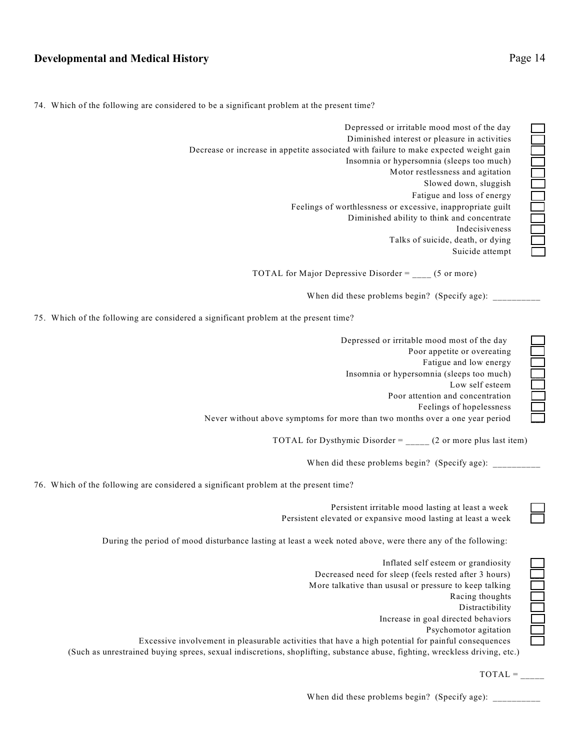74. Which of the following are considered to be a significant problem at the present time?

Fatigue and loss of energy \_\_\_ Feelings of worthlessness or excessive, inappropriate guilt Diminished ability to think and concentrate \_\_\_ Indecisiveness \_\_\_ Talks of suicide, death, or dying \_\_\_ Suicide attempt Depressed or irritable mood most of the day Diminished interest or pleasure in activities Decrease or increase in appetite associated with failure to make expected weight gain Insomnia or hypersomnia (sleeps too much) Motor restlessness and agitation Slowed down, sluggish \_\_\_

TOTAL for Major Depressive Disorder =  $(5 \text{ or more})$ 

When did these problems begin? (Specify age):

75. Which of the following are considered a significant problem at the present time?

| Depressed or irritable mood most of the day                                  |  |
|------------------------------------------------------------------------------|--|
| Poor appetite or overeating                                                  |  |
| Fatigue and low energy                                                       |  |
| Insomnia or hypersomnia (sleeps too much)                                    |  |
| Low self esteem                                                              |  |
| Poor attention and concentration                                             |  |
| Feelings of hopelessness                                                     |  |
| Never without above symptoms for more than two months over a one year period |  |

TOTAL for Dysthymic Disorder = \_\_\_\_\_ (2 or more plus last item)

When did these problems begin? (Specify age): \_\_\_\_\_\_\_\_\_\_

76. Which of the following are considered a significant problem at the present time?

Persistent elevated or expansive mood lasting at least a week \_\_\_ During the period of mood disturbance lasting at least a week noted above, were there any of the following:

Persistent irritable mood lasting at least a week \_\_\_

Inflated self esteem or grandiosity<br>
or sleep (feels rested after 3 hours)<br>
ususal or pressure to keep talking<br>
Racing thoughts<br>
Distractibility<br>
Distractibility<br>
necrease in goal directed behaviors<br>
Psychomotor agitation<br> Decreased need for sleep (feels rested after 3 hours) \_\_\_ More talkative than ususal or pressure to keep talking Racing thoughts \_\_\_ Distractibility \_\_\_ Increase in goal directed behaviors \_\_\_ Psychomotor agitation \_\_\_

Excessive involvement in pleasurable activities that have a high potential for painful consequences \_\_\_

(Such as unrestrained buying sprees, sexual indiscretions, shoplifting, substance abuse, fighting, wreckless driving, etc.)

 $TOTAL =$ 

When did these problems begin? (Specify age):

 $\Box$  $\overline{\phantom{a}}$  $\Box$  $\overline{\phantom{a}}$  $\mathcal{L}$